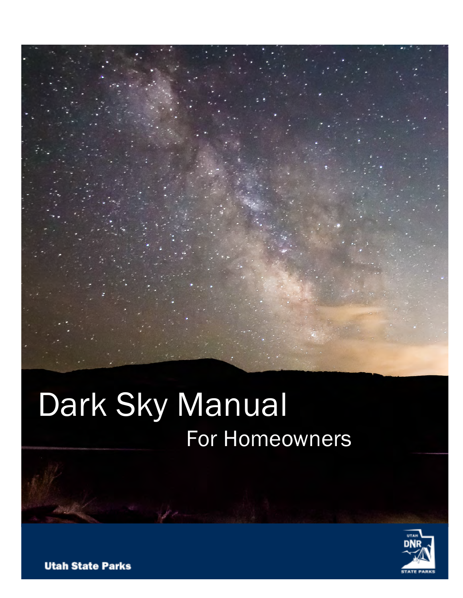### Dark Sky Manual For Homeowners

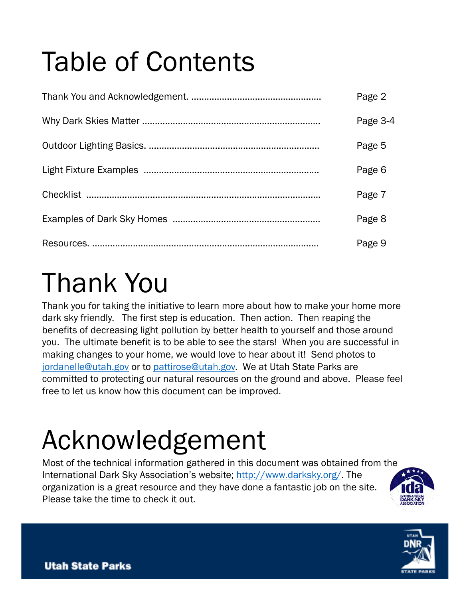# Table of Contents

| Page 2   |
|----------|
| Page 3-4 |
| Page 5   |
| Page 6   |
| Page 7   |
| Page 8   |
| Page 9   |

### Thank You

Thank you for taking the initiative to learn more about how to make your home more dark sky friendly. The first step is education. Then action. Then reaping the benefits of decreasing light pollution by better health to yourself and those around you. The ultimate benefit is to be able to see the stars! When you are successful in making changes to your home, we would love to hear about it! Send photos to jordanelle@utah.gov or to pattirose@utah.gov. We at Utah State Parks are committed to protecting our natural resources on the ground and above. Please feel free to let us know how this document can be improved.

### Acknowledgement

Most of the technical information gathered in this document was obtained from the International Dark Sky Association's website; http://www.darksky.org/. The organization is a great resource and they have done a fantastic job on the site. Please take the time to check it out.



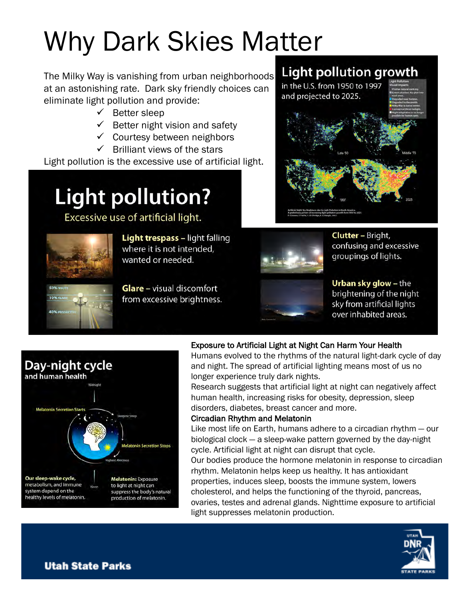# Why Dark Skies Matter

The Milky Way is vanishing from urban neighborhoods at an astonishing rate. Dark sky friendly choices can eliminate light pollution and provide:

- $\checkmark$  Better sleep
- $\checkmark$  Better night vision and safety
- $\checkmark$  Courtesy between neighbors
- Brilliant views of the stars

Light pollution is the excessive use of artificial light.

### **Light pollution?**

Excessive use of artificial light.



**Light trespass - light falling** where it is not intended, wanted or needed.



**Glare** - visual discomfort from excessive brightness.



**Clutter - Bright,** confusing and excessive groupings of lights.

**Light pollution growth** 

in the U.S. from 1950 to 1997 and projected to 2025.



Urban sky glow - the brightening of the night sky from artificial lights over inhabited areas.



#### Exposure to Artificial Light at Night Can Harm Your Health

Humans evolved to the rhythms of the natural light-dark cycle of day and night. The spread of artificial lighting means most of us no longer experience truly dark nights.

Research suggests that artificial light at night can negatively affect human health, increasing risks for obesity, depression, sleep disorders, diabetes, breast cancer and more.

#### Circadian Rhythm and Melatonin

Like most life on Earth, humans adhere to a circadian rhythm — our biological clock — a sleep-wake pattern governed by the day-night cycle. Artificial light at night can disrupt that cycle.

Our bodies produce the hormone melatonin in response to circadian rhythm. Melatonin helps keep us healthy. It has antioxidant properties, induces sleep, boosts the immune system, lowers cholesterol, and helps the functioning of the thyroid, pancreas, ovaries, testes and adrenal glands. Nighttime exposure to artificial light suppresses melatonin production.

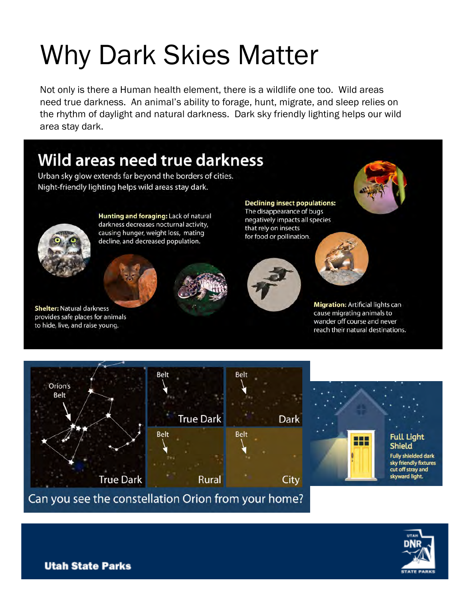# **Why Dark Skies Matter**

Not only is there a Human health element, there is a wildlife one too. Wild areas need true darkness. An animal's ability to forage, hunt, migrate, and sleep relies on the rhythm of daylight and natural darkness. Dark sky friendly lighting helps our wild area stay dark.

### **Wild areas need true darkness**

Urban sky glow extends far beyond the borders of cities. Night-friendly lighting helps wild areas stay dark.



**Shelter: Natural darkness** 

provides safe places for animals

to hide, live, and raise young.

Hunting and foraging: Lack of natural darkness decreases nocturnal activity, causing hunger, weight loss, mating decline, and decreased population.

**Declining insect populations:** The disappearance of bugs negatively impacts all species that rely on insects for food or pollination.







**Migration: Artificial lights can** cause migrating animals to wander off course and never reach their natural destinations.



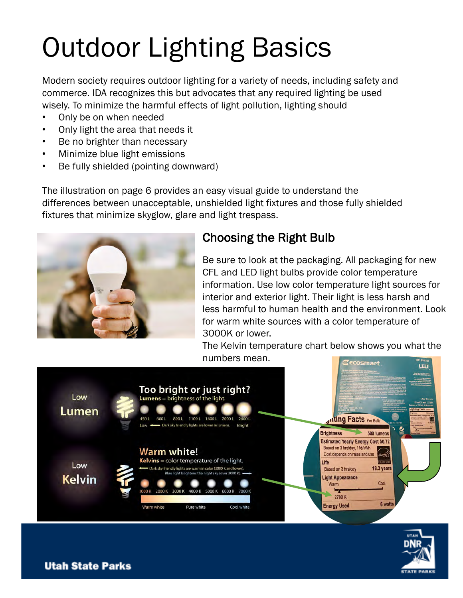# Outdoor Lighting Basics

Modern society requires outdoor lighting for a variety of needs, including safety and commerce. IDA recognizes this but advocates that any required lighting be used wisely. To minimize the harmful effects of light pollution, lighting should

- Only be on when needed
- Only light the area that needs it
- Be no brighter than necessary
- Minimize blue light emissions
- Be fully shielded (pointing downward)

The illustration on page 6 provides an easy visual guide to understand the differences between unacceptable, unshielded light fixtures and those fully shielded fixtures that minimize skyglow, glare and light trespass.



### Choosing the Right Bulb

Be sure to look at the packaging. All packaging for new CFL and LED light bulbs provide color temperature information. Use low color temperature light sources for interior and exterior light. Their light is less harsh and less harmful to human health and the environment. Look for warm white sources with a color temperature of 3000K or lower.

The Kelvin temperature chart below shows you what the numbers mean.**ECOSmart** 



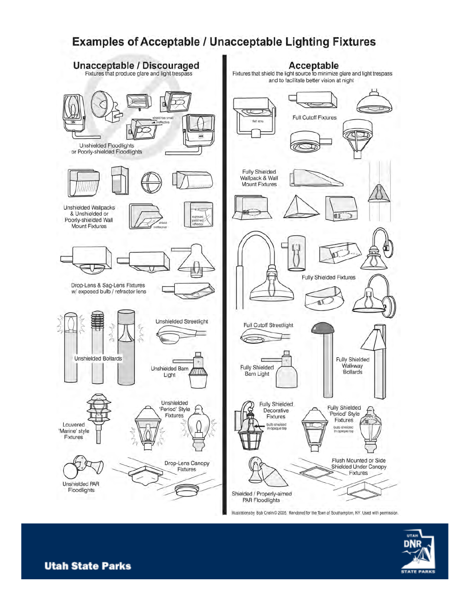### **Examples of Acceptable / Unacceptable Lighting Fixtures**



Illustrations by Bob Crelin @ 2005. Rendered for the Town of Southampton, NY. Used with permission.

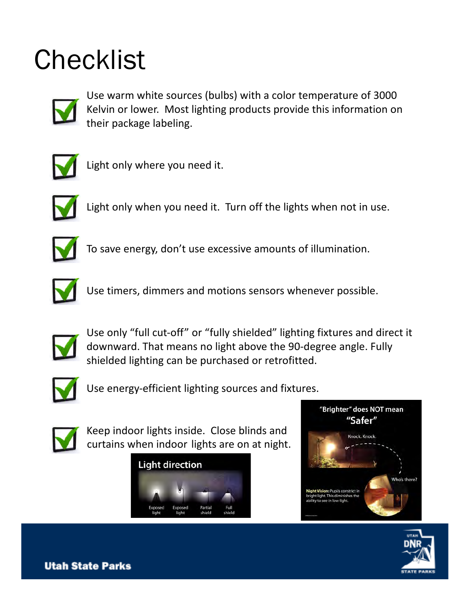### **Checklist**



Use warm white sources (bulbs) with a color temperature of 3000 Kelvin or lower. Most lighting products provide this information on their package labeling.



Light only where you need it.



Light only when you need it. Turn off the lights when not in use.



To save energy, don't use excessive amounts of illumination.



Use timers, dimmers and motions sensors whenever possible.



Use only "full cut-off" or "fully shielded" lighting fixtures and direct it downward. That means no light above the 90-degree angle. Fully shielded lighting can be purchased or retrofitted.



Use energy-efficient lighting sources and fixtures.



Keep indoor lights inside. Close blinds and curtains when indoor lights are on at night.





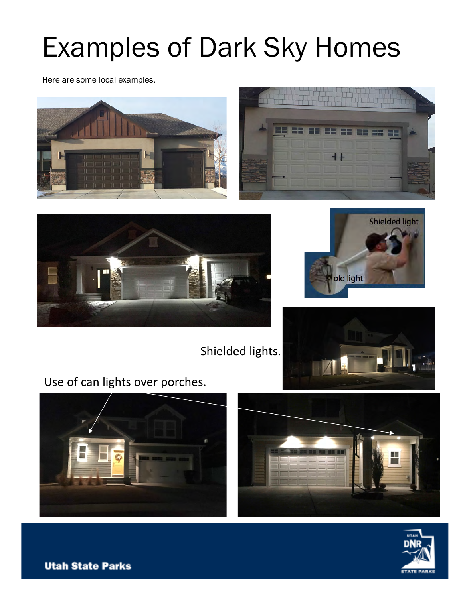### Examples of Dark Sky Homes

Here are some local examples.









Shielded lights.



Use of can lights over porches.